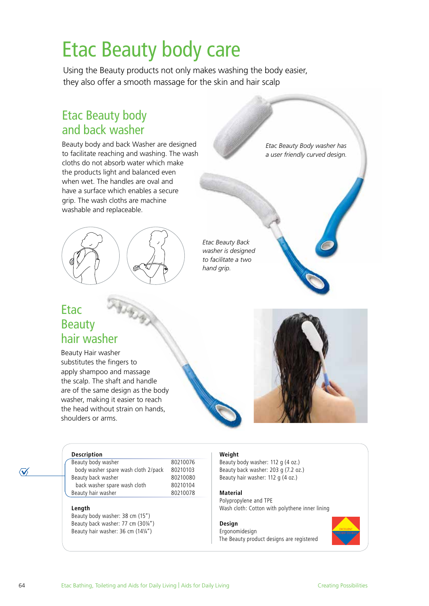# Etac Beauty body care

Using the Beauty products not only makes washing the body easier, they also offer a smooth massage for the skin and hair scalp

### Etac Beauty body and back washer

Beauty body and back Washer are designed to facilitate reaching and washing. The wash cloths do not absorb water which make the products light and balanced even when wet. The handles are oval and have a surface which enables a secure grip. The wash cloths are machine washable and replaceable.



*Etac Beauty Back washer is designed to facilitate a two hand grip.*

### Etac Beauty hair washer

Beauty Hair washer substitutes the fingers to apply shampoo and massage the scalp. The shaft and handle are of the same design as the body washer, making it easier to reach the head without strain on hands, shoulders or arms.





*Etac Beauty Body washer has a user friendly curved design.*

#### **Description**

Beauty body washer 80210076 body washer spare wash cloth 2/pack 80210103 Beauty back washer 80210080<br>back washer spare wash cloth 80210104 back washer spare wash cloth Beauty hair washer 80210078

#### **Length**

Beauty body washer: 38 cm (15") Beauty back washer: 77 cm (30¼") Beauty hair washer: 36 cm (14¼")

#### **Weight**

Beauty body washer: 112 g (4 oz.) Beauty back washer: 203 g (7.2 oz.) Beauty hair washer: 112 g (4 oz.)

#### **Material**

Polypropylene and TPE Wash cloth: Cotton with polythene inner lining

#### **Design**

Ergonomidesign The Beauty product designs are registered



 $\mathcal{V}$